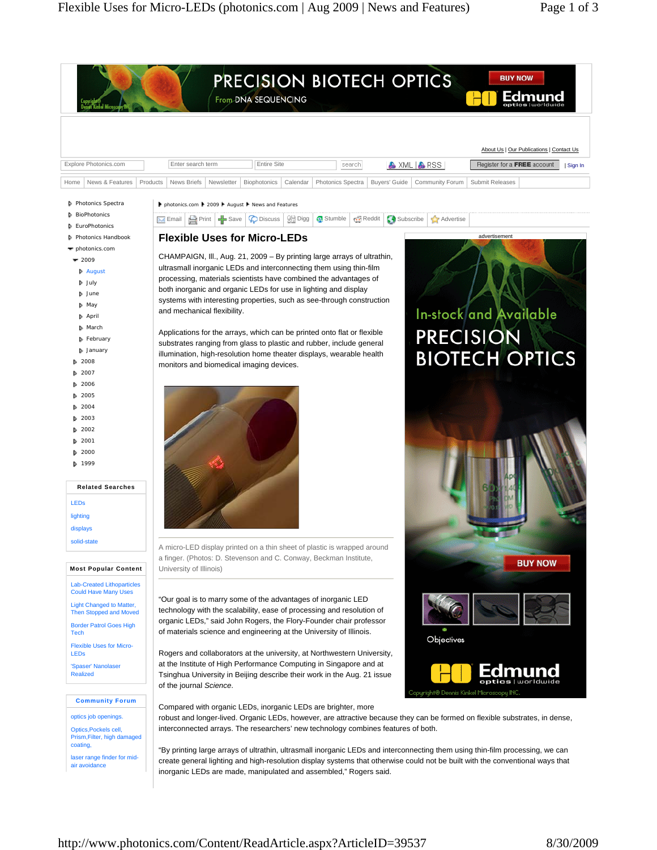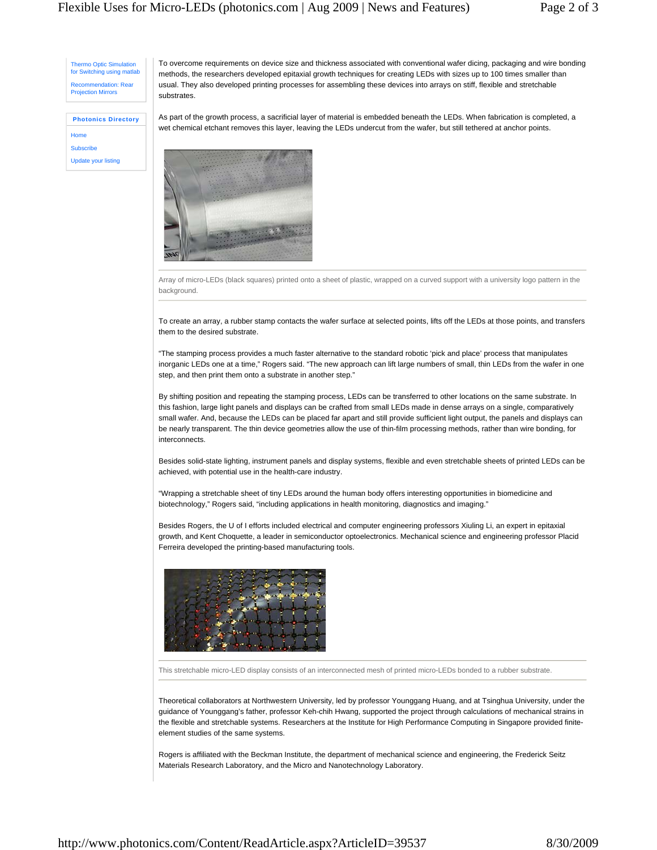Thermo Optic Simulation for Switching using matlab mmendation: Rea Projection Mirrors

To overcome requirements on device size and thickness associated with conventional wafer dicing, packaging and wire bonding methods, the researchers developed epitaxial growth techniques for creating LEDs with sizes up to 100 times smaller than usual. They also developed printing processes for assembling these devices into arrays on stiff, flexible and stretchable substrates.

## **Photonics Directory Home**

**Subscribe** Update your listing As part of the growth process, a sacrificial layer of material is embedded beneath the LEDs. When fabrication is completed, a wet chemical etchant removes this layer, leaving the LEDs undercut from the wafer, but still tethered at anchor points.



Array of micro-LEDs (black squares) printed onto a sheet of plastic, wrapped on a curved support with a university logo pattern in the background.

To create an array, a rubber stamp contacts the wafer surface at selected points, lifts off the LEDs at those points, and transfers them to the desired substrate.

"The stamping process provides a much faster alternative to the standard robotic 'pick and place' process that manipulates inorganic LEDs one at a time," Rogers said. "The new approach can lift large numbers of small, thin LEDs from the wafer in one step, and then print them onto a substrate in another step."

By shifting position and repeating the stamping process, LEDs can be transferred to other locations on the same substrate. In this fashion, large light panels and displays can be crafted from small LEDs made in dense arrays on a single, comparatively small wafer. And, because the LEDs can be placed far apart and still provide sufficient light output, the panels and displays can be nearly transparent. The thin device geometries allow the use of thin-film processing methods, rather than wire bonding, for interconnects.

Besides solid-state lighting, instrument panels and display systems, flexible and even stretchable sheets of printed LEDs can be achieved, with potential use in the health-care industry.

"Wrapping a stretchable sheet of tiny LEDs around the human body offers interesting opportunities in biomedicine and biotechnology," Rogers said, "including applications in health monitoring, diagnostics and imaging."

Besides Rogers, the U of I efforts included electrical and computer engineering professors Xiuling Li, an expert in epitaxial growth, and Kent Choquette, a leader in semiconductor optoelectronics. Mechanical science and engineering professor Placid Ferreira developed the printing-based manufacturing tools.



This stretchable micro-LED display consists of an interconnected mesh of printed micro-LEDs bonded to a rubber substrate.

Theoretical collaborators at Northwestern University, led by professor Younggang Huang, and at Tsinghua University, under the guidance of Younggang's father, professor Keh-chih Hwang, supported the project through calculations of mechanical strains in the flexible and stretchable systems. Researchers at the Institute for High Performance Computing in Singapore provided finiteelement studies of the same systems.

Rogers is affiliated with the Beckman Institute, the department of mechanical science and engineering, the Frederick Seitz Materials Research Laboratory, and the Micro and Nanotechnology Laboratory.